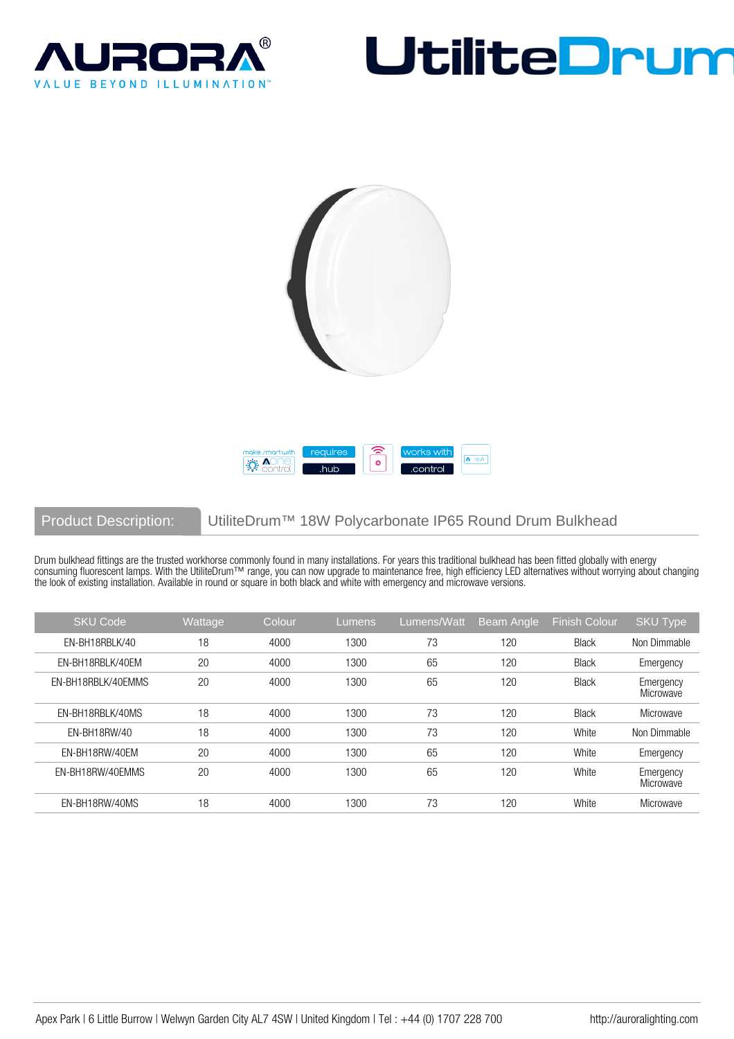







# Product Description: UtiliteDrum™ 18W Polycarbonate IP65 Round Drum Bulkhead

Drum bulkhead fittings are the trusted workhorse commonly found in many installations. For years this traditional bulkhead has been fitted globally with energy consuming fluorescent lamps. With the UtiliteDrum™ range, you can now upgrade to maintenance free, high efficiency LED alternatives without worrying about changing the look of existing installation. Available in round or square in both black and white with emergency and microwave versions.

| <b>SKU Code</b>    | Wattage | Colour | Lumens | Lumens/Watt | <b>Beam Angle</b> | <b>Finish Colour</b> | <b>SKU Type</b>        |
|--------------------|---------|--------|--------|-------------|-------------------|----------------------|------------------------|
| EN-BH18RBLK/40     | 18      | 4000   | 1300   | 73          | 120               | <b>Black</b>         | Non Dimmable           |
| EN-BH18RBLK/40EM   | 20      | 4000   | 1300   | 65          | 120               | <b>Black</b>         | Emergency              |
| FN-BH18RBLK/40FMMS | 20      | 4000   | 1300   | 65          | 120               | <b>Black</b>         | Emergency<br>Microwave |
| EN-BH18RBLK/40MS   | 18      | 4000   | 1300   | 73          | 120               | <b>Black</b>         | Microwave              |
| EN-BH18RW/40       | 18      | 4000   | 1300   | 73          | 120               | White                | Non Dimmable           |
| EN-BH18RW/40EM     | 20      | 4000   | 1300   | 65          | 120               | White                | Emergency              |
| EN-BH18RW/40EMMS   | 20      | 4000   | 1300   | 65          | 120               | White                | Emergency<br>Microwave |
| EN-BH18RW/40MS     | 18      | 4000   | 1300   | 73          | 120               | White                | Microwave              |